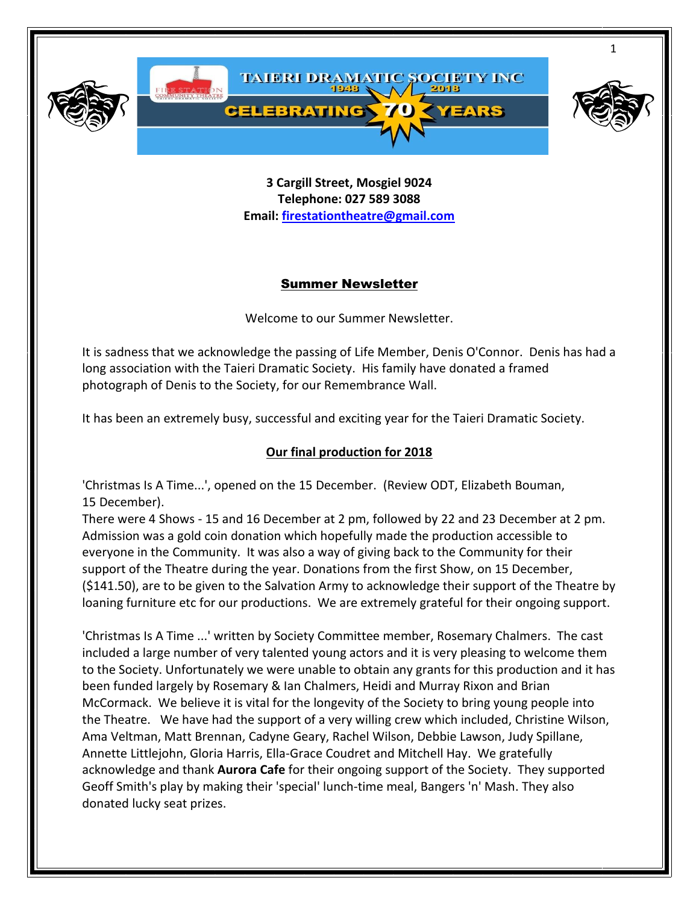

**3 Cargill Street, Mosgiel 9024 Telephone: 027 589 3088 Email: [firestationtheatre@gmail.com](mailto:firestationtheatre@gmail.com)**

#### Summer Newsletter

Welcome to our Summer Newsletter.

It is sadness that we acknowledge the passing of Life Member, Denis O'Connor. Denis has had a long association with the Taieri Dramatic Society. His family have donated a framed photograph of Denis to the Society, for our Remembrance Wall.

It has been an extremely busy, successful and exciting year for the Taieri Dramatic Society.

#### **Our final production for 2018**

'Christmas Is A Time...', opened on the 15 December. (Review ODT, Elizabeth Bouman, 15 December).

There were 4 Shows - 15 and 16 December at 2 pm, followed by 22 and 23 December at 2 pm. Admission was a gold coin donation which hopefully made the production accessible to everyone in the Community. It was also a way of giving back to the Community for their support of the Theatre during the year. Donations from the first Show, on 15 December, (\$141.50), are to be given to the Salvation Army to acknowledge their support of the Theatre by loaning furniture etc for our productions. We are extremely grateful for their ongoing support.

'Christmas Is A Time ...' written by Society Committee member, Rosemary Chalmers. The cast included a large number of very talented young actors and it is very pleasing to welcome them to the Society. Unfortunately we were unable to obtain any grants for this production and it has been funded largely by Rosemary & Ian Chalmers, Heidi and Murray Rixon and Brian McCormack. We believe it is vital for the longevity of the Society to bring young people into the Theatre. We have had the support of a very willing crew which included, Christine Wilson, Ama Veltman, Matt Brennan, Cadyne Geary, Rachel Wilson, Debbie Lawson, Judy Spillane, Annette Littlejohn, Gloria Harris, Ella-Grace Coudret and Mitchell Hay. We gratefully acknowledge and thank **Aurora Cafe** for their ongoing support of the Society. They supported Geoff Smith's play by making their 'special' lunch-time meal, Bangers 'n' Mash. They also donated lucky seat prizes.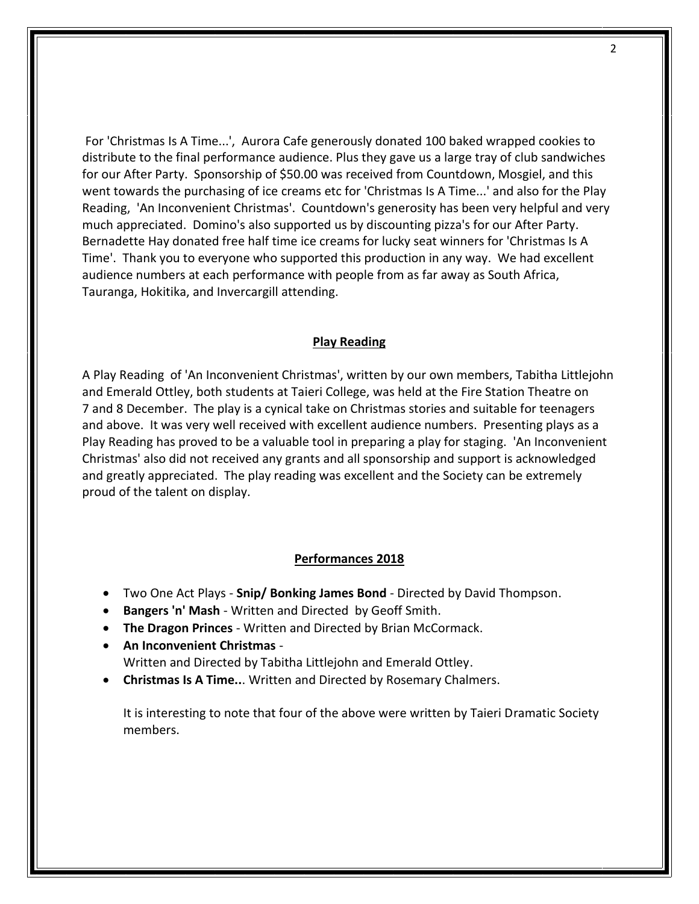For 'Christmas Is A Time...', Aurora Cafe generously donated 100 baked wrapped cookies to distribute to the final performance audience. Plus they gave us a large tray of club sandwiches for our After Party. Sponsorship of \$50.00 was received from Countdown, Mosgiel, and this went towards the purchasing of ice creams etc for 'Christmas Is A Time...' and also for the Play Reading, 'An Inconvenient Christmas'. Countdown's generosity has been very helpful and very much appreciated. Domino's also supported us by discounting pizza's for our After Party. Bernadette Hay donated free half time ice creams for lucky seat winners for 'Christmas Is A Time'. Thank you to everyone who supported this production in any way. We had excellent audience numbers at each performance with people from as far away as South Africa, Tauranga, Hokitika, and Invercargill attending.

#### **Play Reading**

A Play Reading of 'An Inconvenient Christmas', written by our own members, Tabitha Littlejohn and Emerald Ottley, both students at Taieri College, was held at the Fire Station Theatre on 7 and 8 December. The play is a cynical take on Christmas stories and suitable for teenagers and above. It was very well received with excellent audience numbers. Presenting plays as a Play Reading has proved to be a valuable tool in preparing a play for staging. 'An Inconvenient Christmas' also did not received any grants and all sponsorship and support is acknowledged and greatly appreciated. The play reading was excellent and the Society can be extremely proud of the talent on display.

#### **Performances 2018**

- Two One Act Plays **Snip/ Bonking James Bond** Directed by David Thompson.
- **Bangers 'n' Mash** Written and Directed by Geoff Smith.
- **The Dragon Princes** Written and Directed by Brian McCormack.
- **An Inconvenient Christmas**  Written and Directed by Tabitha Littlejohn and Emerald Ottley.
- **Christmas Is A Time..**. Written and Directed by Rosemary Chalmers.

It is interesting to note that four of the above were written by Taieri Dramatic Society members.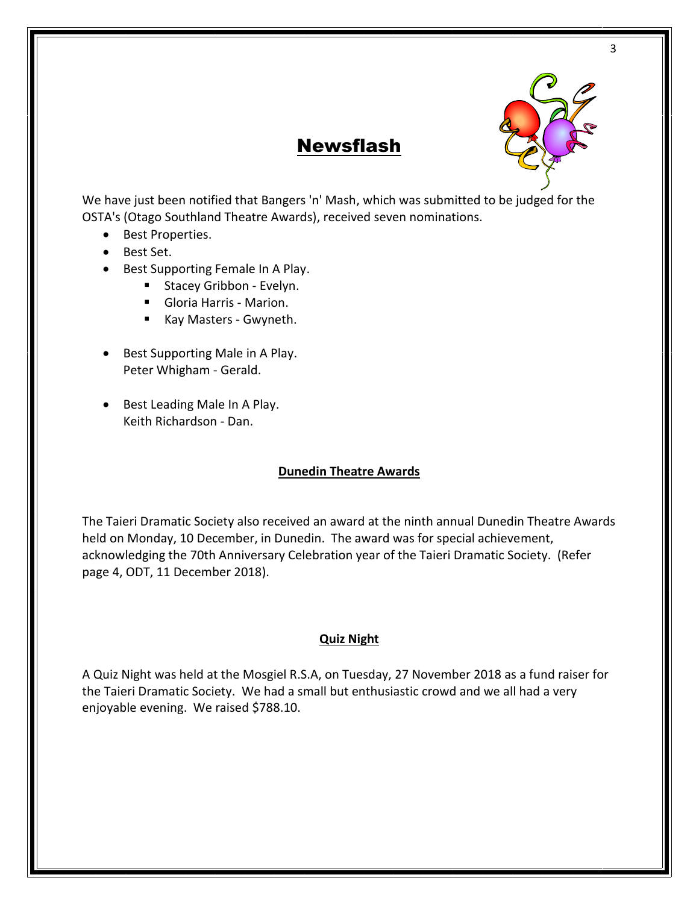

## Newsflash

We have just been notified that Bangers 'n' Mash, which was submitted to be judged for the OSTA's (Otago Southland Theatre Awards), received seven nominations.

- Best Properties.
- Best Set.
- Best Supporting Female In A Play.
	- Stacey Gribbon Evelyn.
	- Gloria Harris Marion.
	- Kay Masters Gwyneth.
- Best Supporting Male in A Play. Peter Whigham - Gerald.
- Best Leading Male In A Play. Keith Richardson - Dan.

#### **Dunedin Theatre Awards**

The Taieri Dramatic Society also received an award at the ninth annual Dunedin Theatre Awards held on Monday, 10 December, in Dunedin. The award was for special achievement, acknowledging the 70th Anniversary Celebration year of the Taieri Dramatic Society. (Refer page 4, ODT, 11 December 2018).

#### **Quiz Night**

A Quiz Night was held at the Mosgiel R.S.A, on Tuesday, 27 November 2018 as a fund raiser for the Taieri Dramatic Society. We had a small but enthusiastic crowd and we all had a very enjoyable evening. We raised \$788.10.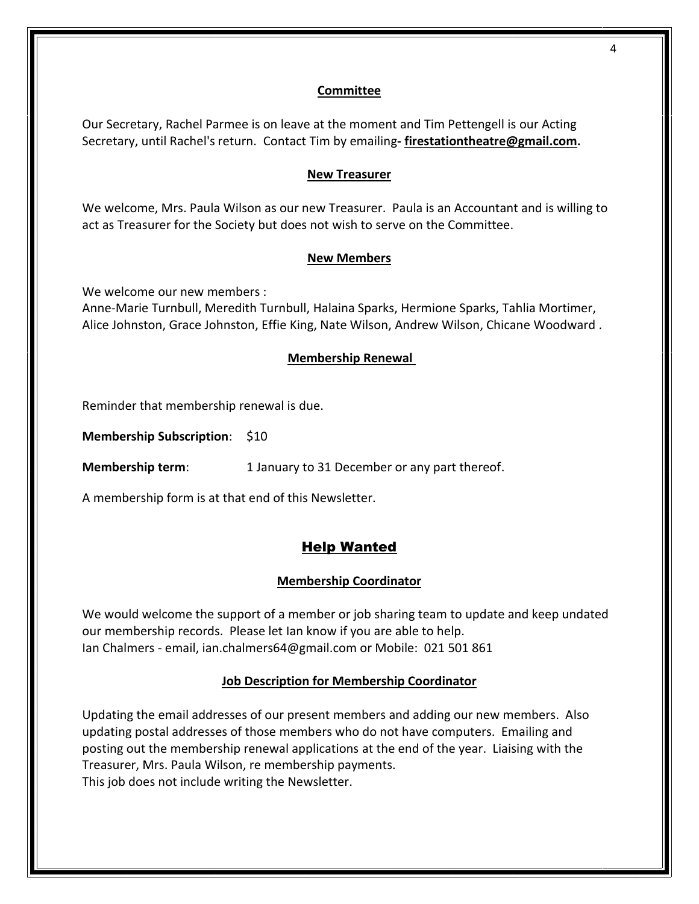#### **Committee**

Our Secretary, Rachel Parmee is on leave at the moment and Tim Pettengell is our Acting Secretary, until Rachel's return. Contact Tim by emailing**- [firestationtheatre@gmail.com](mailto:firestationtheatre@gmail.com).**

#### **New Treasurer**

We welcome, Mrs. Paula Wilson as our new Treasurer. Paula is an Accountant and is willing to act as Treasurer for the Society but does not wish to serve on the Committee.

#### **New Members**

We welcome our new members :

Anne-Marie Turnbull, Meredith Turnbull, Halaina Sparks, Hermione Sparks, Tahlia Mortimer, Alice Johnston, Grace Johnston, Effie King, Nate Wilson, Andrew Wilson, Chicane Woodward .

#### **Membership Renewal**

Reminder that membership renewal is due.

**Membership Subscription**: \$10

**Membership term:** 1 January to 31 December or any part thereof.

A membership form is at that end of this Newsletter.

### Help Wanted

#### **Membership Coordinator**

We would welcome the support of a member or job sharing team to update and keep undated our membership records. Please let Ian know if you are able to help. Ian Chalmers - email, ian.chalmers64@gmail.com or Mobile: 021 501 861

#### **Job Description for Membership Coordinator**

Updating the email addresses of our present members and adding our new members. Also updating postal addresses of those members who do not have computers. Emailing and posting out the membership renewal applications at the end of the year. Liaising with the Treasurer, Mrs. Paula Wilson, re membership payments. This job does not include writing the Newsletter.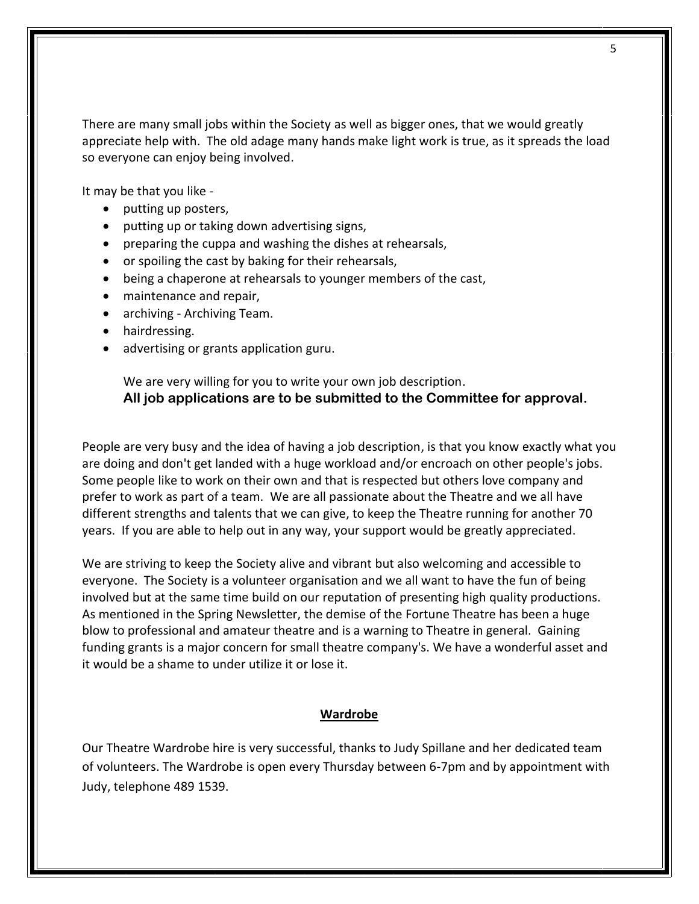There are many small jobs within the Society as well as bigger ones, that we would greatly appreciate help with. The old adage many hands make light work is true, as it spreads the load so everyone can enjoy being involved.

It may be that you like -

- putting up posters,
- putting up or taking down advertising signs,
- preparing the cuppa and washing the dishes at rehearsals,
- or spoiling the cast by baking for their rehearsals,
- being a chaperone at rehearsals to younger members of the cast,
- maintenance and repair,
- archiving Archiving Team.
- hairdressing.
- advertising or grants application guru.

We are very willing for you to write your own job description. **All job applications are to be submitted to the Committee for approval.** 

People are very busy and the idea of having a job description, is that you know exactly what you are doing and don't get landed with a huge workload and/or encroach on other people's jobs. Some people like to work on their own and that is respected but others love company and prefer to work as part of a team. We are all passionate about the Theatre and we all have different strengths and talents that we can give, to keep the Theatre running for another 70 years. If you are able to help out in any way, your support would be greatly appreciated.

We are striving to keep the Society alive and vibrant but also welcoming and accessible to everyone. The Society is a volunteer organisation and we all want to have the fun of being involved but at the same time build on our reputation of presenting high quality productions. As mentioned in the Spring Newsletter, the demise of the Fortune Theatre has been a huge blow to professional and amateur theatre and is a warning to Theatre in general. Gaining funding grants is a major concern for small theatre company's. We have a wonderful asset and it would be a shame to under utilize it or lose it.

#### **Wardrobe**

Our Theatre Wardrobe hire is very successful, thanks to Judy Spillane and her dedicated team of volunteers. The Wardrobe is open every Thursday between 6-7pm and by appointment with Judy, telephone 489 1539.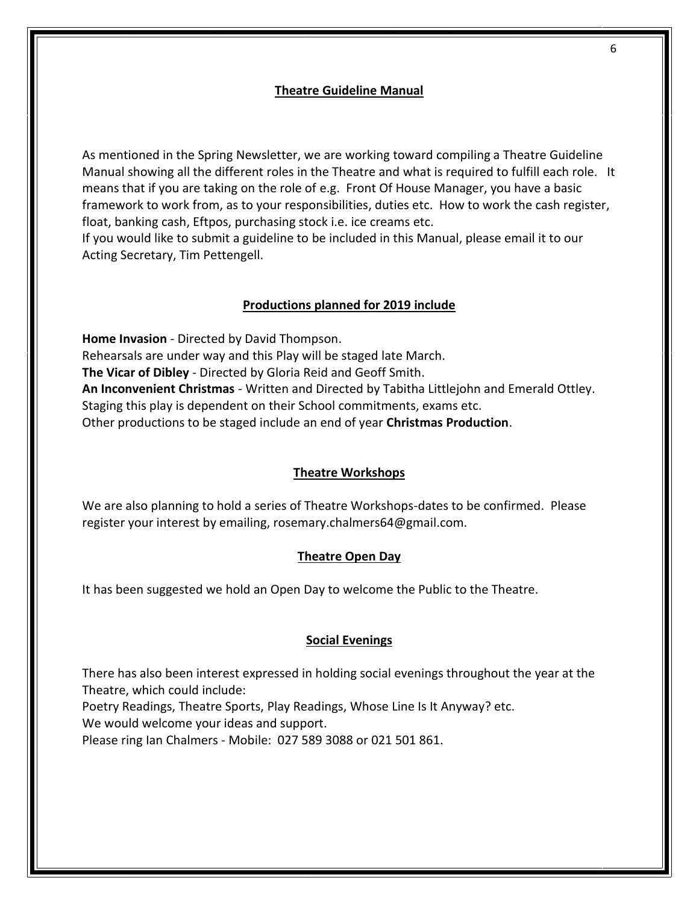#### **Theatre Guideline Manual**

As mentioned in the Spring Newsletter, we are working toward compiling a Theatre Guideline Manual showing all the different roles in the Theatre and what is required to fulfill each role. It means that if you are taking on the role of e.g. Front Of House Manager, you have a basic framework to work from, as to your responsibilities, duties etc. How to work the cash register, float, banking cash, Eftpos, purchasing stock i.e. ice creams etc.

If you would like to submit a guideline to be included in this Manual, please email it to our Acting Secretary, Tim Pettengell.

#### **Productions planned for 2019 include**

**Home Invasion** - Directed by David Thompson. Rehearsals are under way and this Play will be staged late March. **The Vicar of Dibley** - Directed by Gloria Reid and Geoff Smith. **An Inconvenient Christmas** - Written and Directed by Tabitha Littlejohn and Emerald Ottley. Staging this play is dependent on their School commitments, exams etc. Other productions to be staged include an end of year **Christmas Production**.

#### **Theatre Workshops**

We are also planning to hold a series of Theatre Workshops-dates to be confirmed. Please register your interest by emailing, rosemary.chalmers64@gmail.com.

#### **Theatre Open Day**

It has been suggested we hold an Open Day to welcome the Public to the Theatre.

#### **Social Evenings**

There has also been interest expressed in holding social evenings throughout the year at the Theatre, which could include:

Poetry Readings, Theatre Sports, Play Readings, Whose Line Is It Anyway? etc.

We would welcome your ideas and support.

Please ring Ian Chalmers - Mobile: 027 589 3088 or 021 501 861.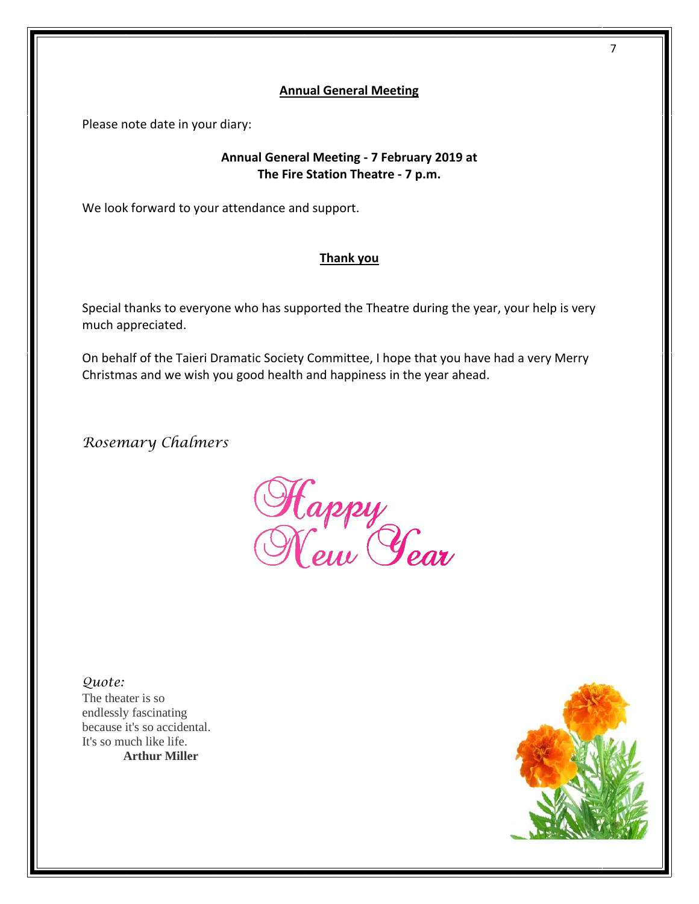#### **Annual General Meeting**

Please note date in your diary:

#### **Annual General Meeting - 7 February 2019 at The Fire Station Theatre - 7 p.m.**

We look forward to your attendance and support.

#### **Thank you**

Special thanks to everyone who has supported the Theatre during the year, your help is very much appreciated.

On behalf of the Taieri Dramatic Society Committee, I hope that you have had a very Merry Christmas and we wish you good health and happiness in the year ahead.

*Rosemary Chalmers*

Happy<br>New *Year* 

*Quote:* 

The theater is so endlessly fascinating because it's so accidental. It's so much like life. **Arthur Miller** 



7